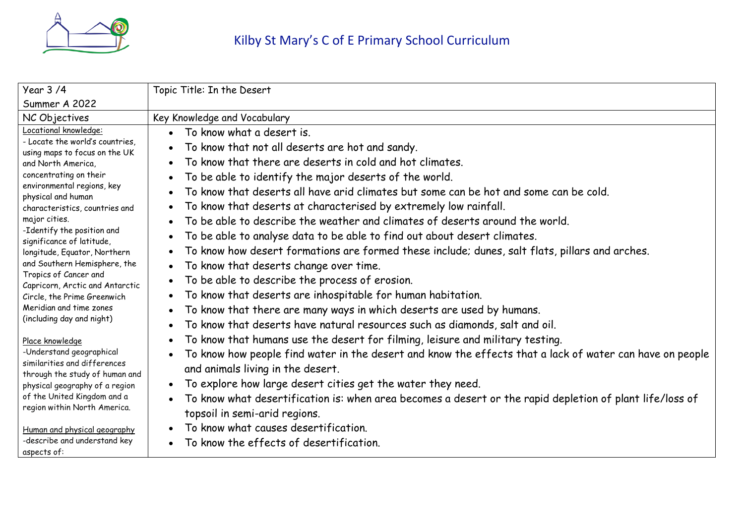

| Year 3/4                                                                                                                                                                                                                                                                                                                                                                                                                                                                                                                                                                                                                                                                                                                                         | Topic Title: In the Desert                                                                                                                                                                                                                                                                                                                                                                                                                                                                                                                                                                                                                                                                                                                                                                                                                                                                                                                                                                                                                                                                                                                                                                                                                                                                                                                                                 |
|--------------------------------------------------------------------------------------------------------------------------------------------------------------------------------------------------------------------------------------------------------------------------------------------------------------------------------------------------------------------------------------------------------------------------------------------------------------------------------------------------------------------------------------------------------------------------------------------------------------------------------------------------------------------------------------------------------------------------------------------------|----------------------------------------------------------------------------------------------------------------------------------------------------------------------------------------------------------------------------------------------------------------------------------------------------------------------------------------------------------------------------------------------------------------------------------------------------------------------------------------------------------------------------------------------------------------------------------------------------------------------------------------------------------------------------------------------------------------------------------------------------------------------------------------------------------------------------------------------------------------------------------------------------------------------------------------------------------------------------------------------------------------------------------------------------------------------------------------------------------------------------------------------------------------------------------------------------------------------------------------------------------------------------------------------------------------------------------------------------------------------------|
| Summer A 2022                                                                                                                                                                                                                                                                                                                                                                                                                                                                                                                                                                                                                                                                                                                                    |                                                                                                                                                                                                                                                                                                                                                                                                                                                                                                                                                                                                                                                                                                                                                                                                                                                                                                                                                                                                                                                                                                                                                                                                                                                                                                                                                                            |
| NC Objectives                                                                                                                                                                                                                                                                                                                                                                                                                                                                                                                                                                                                                                                                                                                                    | Key Knowledge and Vocabulary                                                                                                                                                                                                                                                                                                                                                                                                                                                                                                                                                                                                                                                                                                                                                                                                                                                                                                                                                                                                                                                                                                                                                                                                                                                                                                                                               |
| Locational knowledge:<br>- Locate the world's countries,<br>using maps to focus on the UK<br>and North America,<br>concentrating on their<br>environmental regions, key<br>physical and human<br>characteristics, countries and<br>major cities.<br>-Identify the position and<br>significance of latitude,<br>longitude, Equator, Northern<br>and Southern Hemisphere, the<br>Tropics of Cancer and<br>Capricorn, Arctic and Antarctic<br>Circle, the Prime Greenwich<br>Meridian and time zones<br>(including day and night)<br>Place knowledge<br>-Understand geographical<br>similarities and differences<br>through the study of human and<br>physical geography of a region<br>of the United Kingdom and a<br>region within North America. | To know what a desert is.<br>To know that not all deserts are hot and sandy.<br>To know that there are deserts in cold and hot climates.<br>To be able to identify the major deserts of the world.<br>To know that deserts all have arid climates but some can be hot and some can be cold.<br>To know that deserts at characterised by extremely low rainfall.<br>To be able to describe the weather and climates of deserts around the world.<br>To be able to analyse data to be able to find out about desert climates.<br>To know how desert formations are formed these include; dunes, salt flats, pillars and arches.<br>To know that deserts change over time.<br>To be able to describe the process of erosion.<br>To know that deserts are inhospitable for human habitation.<br>To know that there are many ways in which deserts are used by humans.<br>To know that deserts have natural resources such as diamonds, salt and oil.<br>To know that humans use the desert for filming, leisure and military testing.<br>To know how people find water in the desert and know the effects that a lack of water can have on people<br>and animals living in the desert.<br>To explore how large desert cities get the water they need.<br>$\bullet$<br>To know what desertification is: when area becomes a desert or the rapid depletion of plant life/loss of |
|                                                                                                                                                                                                                                                                                                                                                                                                                                                                                                                                                                                                                                                                                                                                                  | topsoil in semi-arid regions.<br>To know what causes desertification.                                                                                                                                                                                                                                                                                                                                                                                                                                                                                                                                                                                                                                                                                                                                                                                                                                                                                                                                                                                                                                                                                                                                                                                                                                                                                                      |
| Human and physical geography<br>-describe and understand key                                                                                                                                                                                                                                                                                                                                                                                                                                                                                                                                                                                                                                                                                     |                                                                                                                                                                                                                                                                                                                                                                                                                                                                                                                                                                                                                                                                                                                                                                                                                                                                                                                                                                                                                                                                                                                                                                                                                                                                                                                                                                            |
| aspects of:                                                                                                                                                                                                                                                                                                                                                                                                                                                                                                                                                                                                                                                                                                                                      | To know the effects of desertification.                                                                                                                                                                                                                                                                                                                                                                                                                                                                                                                                                                                                                                                                                                                                                                                                                                                                                                                                                                                                                                                                                                                                                                                                                                                                                                                                    |